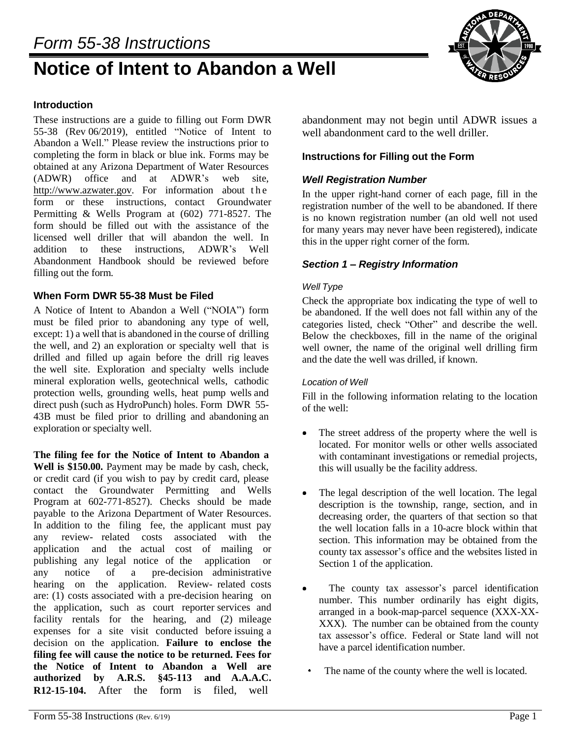# *Form 55-38 Instructions*

# **Notice of Intent to Abandon a Well**



# **Introduction**

These instructions are a guide to filling out Form DWR 55-38 (Rev 06/2019), entitled "Notice of Intent to Abandon a Well." Please review the instructions prior to completing the form in black or blue ink. Forms may be obtained at any Arizona Department of Water Resources (ADWR) office and at ADWR's web site[,](http://www.azwater.gov/)  [http://www.azwater.gov.](http://www.azwater.gov/) For information about the form or these instructions, contact Groundwater Permitting & Wells Program at (602) 771-8527. The form should be filled out with the assistance of the licensed well driller that will abandon the well. In addition to these instructions, ADWR's Well Abandonment Handbook should be reviewed before filling out the form.

#### **When Form DWR 55-38 Must be Filed**

A Notice of Intent to Abandon a Well ("NOIA") form must be filed prior to abandoning any type of well, except: 1) a well that is abandoned in the course of drilling the well, and 2) an exploration or specialty well that is drilled and filled up again before the drill rig leaves the well site. Exploration and specialty wells include mineral exploration wells, geotechnical wells, cathodic protection wells, grounding wells, heat pump wells and direct push (such as HydroPunch) holes. Form DWR 55- 43B must be filed prior to drilling and abandoning an exploration or specialty well.

**The filing fee for the Notice of Intent to Abandon a Well is \$150.00.** Payment may be made by cash, check, or credit card (if you wish to pay by credit card, please contact the Groundwater Permitting and Wells Program at 602-771-8527). Checks should be made payable to the Arizona Department of Water Resources. In addition to the filing fee, the applicant must pay any review- related costs associated with the application and the actual cost of mailing or publishing any legal notice of the application or any notice of a pre-decision administrative hearing on the application. Review- related costs are: (1) costs associated with a pre-decision hearing on the application, such as court reporter services and facility rentals for the hearing, and (2) mileage expenses for a site visit conducted before issuing a decision on the application. **Failure to enclose the filing fee will cause the notice to be returned. Fees for the Notice of Intent to Abandon a Well are authorized by A.R.S. §45-113 and A.A.A.C. R12-15-104.** After the form is filed, well

abandonment may not begin until ADWR issues a well abandonment card to the well driller.

#### **Instructions for Filling out the Form**

#### *Well Registration Number*

In the upper right-hand corner of each page, fill in the registration number of the well to be abandoned. If there is no known registration number (an old well not used for many years may never have been registered), indicate this in the upper right corner of the form.

#### *Section 1 – Registry Information*

#### *Well Type*

Check the appropriate box indicating the type of well to be abandoned. If the well does not fall within any of the categories listed, check "Other" and describe the well. Below the checkboxes, fill in the name of the original well owner, the name of the original well drilling firm and the date the well was drilled, if known.

#### *Location of Well*

Fill in the following information relating to the location of the well:

- The street address of the property where the well is located. For monitor wells or other wells associated with contaminant investigations or remedial projects, this will usually be the facility address.
- $\bullet$  The legal description of the well location. The legal description is the township, range, section, and in decreasing order, the quarters of that section so that the well location falls in a 10-acre block within that section. This information may be obtained from the county tax assessor's office and the websites listed in Section 1 of the application.
- The county tax assessor's parcel identification number. This number ordinarily has eight digits, arranged in a book-map-parcel sequence (XXX-XX-XXX). The number can be obtained from the county tax assessor's office. Federal or State land will not have a parcel identification number.
	- The name of the county where the well is located.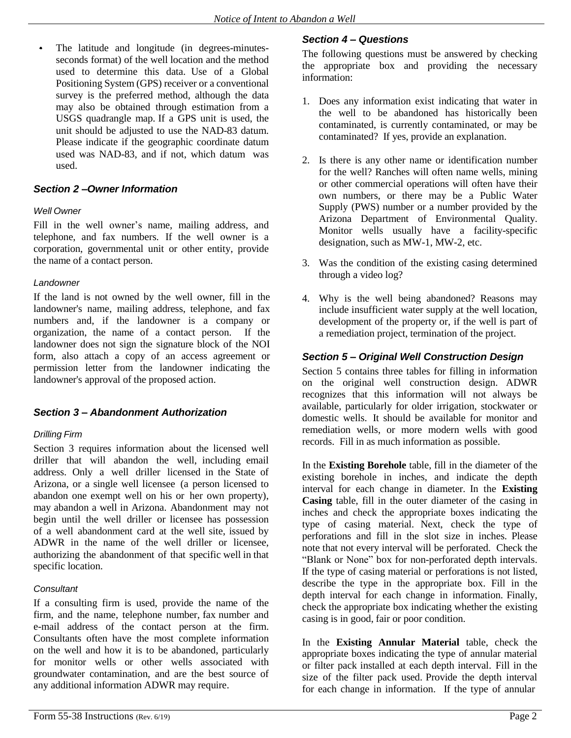The latitude and longitude (in degrees-minutesseconds format) of the well location and the method used to determine this data. Use of a Global Positioning System (GPS) receiver or a conventional survey is the preferred method, although the data may also be obtained through estimation from a USGS quadrangle map. If a GPS unit is used, the unit should be adjusted to use the NAD-83 datum. Please indicate if the geographic coordinate datum used was NAD-83, and if not, which datum was used.

# *Section 2 –Owner Information*

#### *Well Owner*

Fill in the well owner's name, mailing address, and telephone, and fax numbers. If the well owner is a corporation, governmental unit or other entity, provide the name of a contact person.

#### *Landowner*

If the land is not owned by the well owner, fill in the landowner's name, mailing address, telephone, and fax numbers and, if the landowner is a company or organization, the name of a contact person. If the landowner does not sign the signature block of the NOI form, also attach a copy of an access agreement or permission letter from the landowner indicating the landowner's approval of the proposed action.

# *Section 3 – Abandonment Authorization*

#### *Drilling Firm*

Section 3 requires information about the licensed well driller that will abandon the well, including email address. Only a well driller licensed in the State of Arizona, or a single well licensee (a person licensed to abandon one exempt well on his or her own property), may abandon a well in Arizona. Abandonment may not begin until the well driller or licensee has possession of a well abandonment card at the well site, issued by ADWR in the name of the well driller or licensee, authorizing the abandonment of that specific well in that specific location.

#### *Consultant*

If a consulting firm is used, provide the name of the firm, and the name, telephone number, fax number and e-mail address of the contact person at the firm. Consultants often have the most complete information on the well and how it is to be abandoned, particularly for monitor wells or other wells associated with groundwater contamination, and are the best source of any additional information ADWR may require.

# *Section 4 – Questions*

The following questions must be answered by checking the appropriate box and providing the necessary information:

- 1. Does any information exist indicating that water in the well to be abandoned has historically been contaminated, is currently contaminated, or may be contaminated? If yes, provide an explanation.
- 2. Is there is any other name or identification number for the well? Ranches will often name wells, mining or other commercial operations will often have their own numbers, or there may be a Public Water Supply (PWS) number or a number provided by the Arizona Department of Environmental Quality. Monitor wells usually have a facility-specific designation, such as MW-1, MW-2, etc.
- 3. Was the condition of the existing casing determined through a video log?
- 4. Why is the well being abandoned? Reasons may include insufficient water supply at the well location, development of the property or, if the well is part of a remediation project, termination of the project.

# *Section 5 – Original Well Construction Design*

Section 5 contains three tables for filling in information on the original well construction design. ADWR recognizes that this information will not always be available, particularly for older irrigation, stockwater or domestic wells. It should be available for monitor and remediation wells, or more modern wells with good records. Fill in as much information as possible.

In the **Existing Borehole** table, fill in the diameter of the existing borehole in inches, and indicate the depth interval for each change in diameter. In the **Existing Casing** table, fill in the outer diameter of the casing in inches and check the appropriate boxes indicating the type of casing material. Next, check the type of perforations and fill in the slot size in inches. Please note that not every interval will be perforated. Check the "Blank or None" box for non-perforated depth intervals. If the type of casing material or perforations is not listed, describe the type in the appropriate box. Fill in the depth interval for each change in information. Finally, check the appropriate box indicating whether the existing casing is in good, fair or poor condition.

In the **Existing Annular Material** table, check the appropriate boxes indicating the type of annular material or filter pack installed at each depth interval. Fill in the size of the filter pack used. Provide the depth interval for each change in information. If the type of annular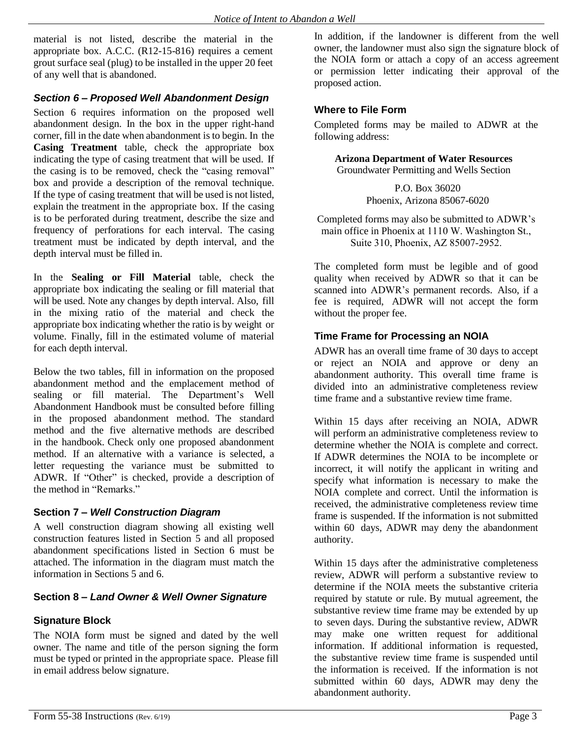material is not listed, describe the material in the appropriate box. A.C.C. (R12-15-816) requires a cement grout surface seal (plug) to be installed in the upper 20 feet of any well that is abandoned.

# *Section 6 – Proposed Well Abandonment Design*

Section 6 requires information on the proposed well abandonment design. In the box in the upper right-hand corner, fill in the date when abandonment is to begin. In the **Casing Treatment** table, check the appropriate box indicating the type of casing treatment that will be used. If the casing is to be removed, check the "casing removal" box and provide a description of the removal technique. If the type of casing treatment that will be used is not listed, explain the treatment in the appropriate box. If the casing is to be perforated during treatment, describe the size and frequency of perforations for each interval. The casing treatment must be indicated by depth interval, and the depth interval must be filled in.

In the **Sealing or Fill Material** table, check the appropriate box indicating the sealing or fill material that will be used. Note any changes by depth interval. Also, fill in the mixing ratio of the material and check the appropriate box indicating whether the ratio is by weight or volume. Finally, fill in the estimated volume of material for each depth interval.

Below the two tables, fill in information on the proposed abandonment method and the emplacement method of sealing or fill material. The Department's Well Abandonment Handbook must be consulted before filling in the proposed abandonment method. The standard method and the five alternative methods are described in the handbook. Check only one proposed abandonment method. If an alternative with a variance is selected, a letter requesting the variance must be submitted to ADWR. If "Other" is checked, provide a description of the method in "Remarks."

#### **Section 7** *– Well Construction Diagram*

A well construction diagram showing all existing well construction features listed in Section 5 and all proposed abandonment specifications listed in Section 6 must be attached. The information in the diagram must match the information in Sections 5 and 6.

# **Section 8 –** *Land Owner & Well Owner Signature*

# **Signature Block**

The NOIA form must be signed and dated by the well owner. The name and title of the person signing the form must be typed or printed in the appropriate space. Please fill in email address below signature.

In addition, if the landowner is different from the well owner, the landowner must also sign the signature block of the NOIA form or attach a copy of an access agreement or permission letter indicating their approval of the proposed action.

#### **Where to File Form**

Completed forms may be mailed to ADWR at the following address:

**Arizona Department of Water Resources**

Groundwater Permitting and Wells Section

P.O. Box 36020 Phoenix, Arizona 85067-6020

Completed forms may also be submitted to ADWR's main office in Phoenix at 1110 W. Washington St., Suite 310, Phoenix, AZ 85007-2952.

The completed form must be legible and of good quality when received by ADWR so that it can be scanned into ADWR's permanent records. Also, if a fee is required, ADWR will not accept the form without the proper fee.

# **Time Frame for Processing an NOIA**

ADWR has an overall time frame of 30 days to accept or reject an NOIA and approve or deny an abandonment authority. This overall time frame is divided into an administrative completeness review time frame and a substantive review time frame.

Within 15 days after receiving an NOIA, ADWR will perform an administrative completeness review to determine whether the NOIA is complete and correct. If ADWR determines the NOIA to be incomplete or incorrect, it will notify the applicant in writing and specify what information is necessary to make the NOIA complete and correct. Until the information is received, the administrative completeness review time frame is suspended. If the information is not submitted within 60 days, ADWR may deny the abandonment authority.

Within 15 days after the administrative completeness review, ADWR will perform a substantive review to determine if the NOIA meets the substantive criteria required by statute or rule. By mutual agreement, the substantive review time frame may be extended by up to seven days. During the substantive review, ADWR may make one written request for additional information. If additional information is requested, the substantive review time frame is suspended until the information is received. If the information is not submitted within 60 days, ADWR may deny the abandonment authority.